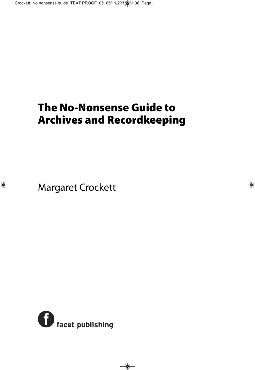# **The No-Nonsense Guide to Archives and Recordkeeping**

Margaret Crockett

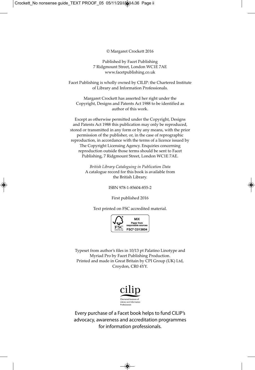#### © Margaret Crockett 2016

#### Published by Facet Publishing 7 Ridgmount Street, London WC1E 7AE www.facetpublishing.co.uk

Facet Publishing is wholly owned by CILIP: the Chartered Institute of Library and Information Professionals.

Margaret Crockett has asserted her right under the Copyright, Designs and Patents Act 1988 to be identified as author of this work.

Except as otherwise permitted under the Copyright, Designs and Patents Act 1988 this publication may only be reproduced, stored or transmitted in any form or by any means, with the prior permission of the publisher, or, in the case of reprographic reproduction, in accordance with the terms of a licence issued by The Copyright Licensing Agency. Enquiries concerning reproduction outside those terms should be sent to Facet Publishing, 7 Ridgmount Street, London WC1E 7AE.

> *British Library Cataloguing in Publication Data* A catalogue record for this book is available from the British Library.

> > ISBN 978-1-85604-855-2

First published 2016

Text printed on FSC accredited material.



Typeset from author's files in 10/13 pt Palatino Linotype and Myriad Pro by Facet Publishing Production. Printed and made in Great Britain by CPI Group (UK) Ltd, Croydon, CR0 4YY.



Every purchase of a Facet book helps to fund CILIP's advocacy, awareness and accreditation programmes for information professionals.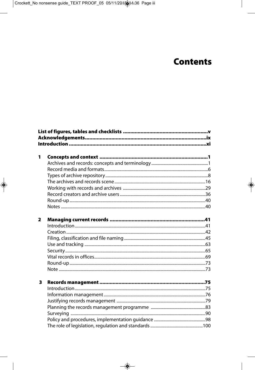## **Contents**

| 1                       |  |  |
|-------------------------|--|--|
|                         |  |  |
|                         |  |  |
|                         |  |  |
|                         |  |  |
|                         |  |  |
|                         |  |  |
|                         |  |  |
|                         |  |  |
|                         |  |  |
| $\overline{\mathbf{2}}$ |  |  |
|                         |  |  |
|                         |  |  |
|                         |  |  |
|                         |  |  |
|                         |  |  |
|                         |  |  |
|                         |  |  |
|                         |  |  |
|                         |  |  |
| 3                       |  |  |
|                         |  |  |
|                         |  |  |
|                         |  |  |
|                         |  |  |
|                         |  |  |
|                         |  |  |
|                         |  |  |
|                         |  |  |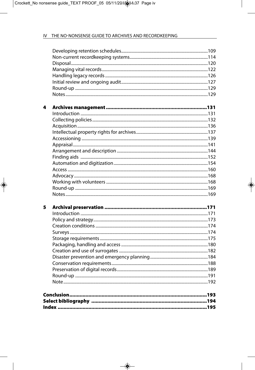| 4 |  |
|---|--|
|   |  |
|   |  |
|   |  |
|   |  |
|   |  |
|   |  |
|   |  |
|   |  |
|   |  |
|   |  |
|   |  |
|   |  |
|   |  |
|   |  |
| 5 |  |
|   |  |
|   |  |
|   |  |
|   |  |
|   |  |
|   |  |
|   |  |
|   |  |
|   |  |
|   |  |
|   |  |
|   |  |
|   |  |
|   |  |
|   |  |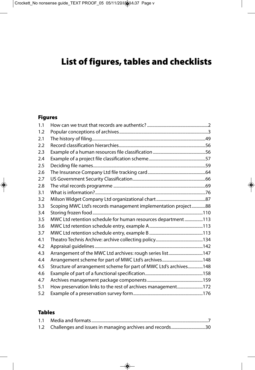# **List of figures, tables and checklists**

## **Figures**

| 1.1 |                                                                   |  |
|-----|-------------------------------------------------------------------|--|
| 1.2 |                                                                   |  |
| 2.1 |                                                                   |  |
| 2.2 |                                                                   |  |
| 2.3 |                                                                   |  |
| 2.4 |                                                                   |  |
| 2.5 |                                                                   |  |
| 2.6 |                                                                   |  |
| 2.7 |                                                                   |  |
| 2.8 |                                                                   |  |
| 3.1 |                                                                   |  |
| 3.2 |                                                                   |  |
| 3.3 | Scoping MWC Ltd's records management implementation project88     |  |
| 3.4 |                                                                   |  |
| 3.5 | MWC Ltd retention schedule for human resources department113      |  |
| 3.6 |                                                                   |  |
| 3.7 |                                                                   |  |
| 4.1 |                                                                   |  |
| 4.2 |                                                                   |  |
| 4.3 | Arrangement of the MWC Ltd archives: rough series list147         |  |
| 4.4 |                                                                   |  |
| 4.5 | Structure of arrangement scheme for part of MWC Ltd's archives148 |  |
| 4.6 |                                                                   |  |
| 4.7 |                                                                   |  |
| 5.1 | How preservation links to the rest of archives management172      |  |
| 5.2 |                                                                   |  |

## **Tables**

| 1.2 Challenges and issues in managing archives and records30 |
|--------------------------------------------------------------|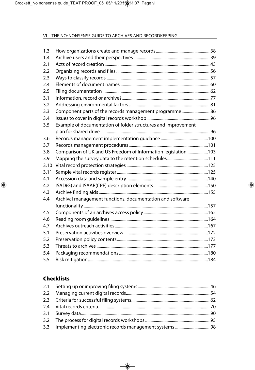| 1.3  |                                                                |  |
|------|----------------------------------------------------------------|--|
| 1.4  |                                                                |  |
| 2.1  |                                                                |  |
| 2.2  |                                                                |  |
| 2.3  |                                                                |  |
| 2.4  |                                                                |  |
| 2.5  |                                                                |  |
| 3.1  |                                                                |  |
| 3.2  |                                                                |  |
| 3.3  | Component parts of the records management programme 86         |  |
| 3.4  |                                                                |  |
| 3.5  | Example of documentation of folder structures and improvement  |  |
|      |                                                                |  |
| 3.6  |                                                                |  |
| 3.7  |                                                                |  |
| 3.8  | Comparison of UK and US Freedom of Information legislation 103 |  |
| 3.9  |                                                                |  |
| 3.10 |                                                                |  |
| 3.11 |                                                                |  |
| 4.1  |                                                                |  |
| 4.2  |                                                                |  |
| 4.3  |                                                                |  |
| 4.4  | Archival management functions, documentation and software      |  |
|      |                                                                |  |
| 4.5  |                                                                |  |
| 4.6  |                                                                |  |
| 4.7  |                                                                |  |
| 5.1  |                                                                |  |
| 5.2  |                                                                |  |
| 5.3  |                                                                |  |
| 5.4  |                                                                |  |
| 5.5  |                                                                |  |

## **Checklists**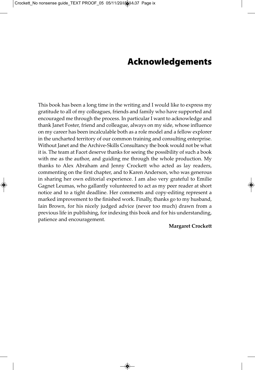## **Acknowledgements**

This book has been a long time in the writing and I would like to express my gratitude to all of my colleagues, friends and family who have supported and encouraged me through the process. In particular I want to acknowledge and thank Janet Foster, friend and colleague, always on my side, whose influence on my career has been incalculable both as a role model and a fellow explorer in the uncharted territory of our common training and consulting enterprise. Without Janet and the Archive-Skills Consultancy the book would not be what it is. The team at Facet deserve thanks for seeing the possibility of such a book with me as the author, and guiding me through the whole production. My thanks to Alex Abraham and Jenny Crockett who acted as lay readers, commenting on the first chapter, and to Karen Anderson, who was generous in sharing her own editorial experience. I am also very grateful to Emilie Gagnet Leumas, who gallantly volunteered to act as my peer reader at short notice and to a tight deadline. Her comments and copy-editing represent a marked improvement to the finished work. Finally, thanks go to my husband, Iain Brown, for his nicely judged advice (never too much) drawn from a previous life in publishing, for indexing this book and for his understanding, patience and encouragement.

#### **Margaret Crockett**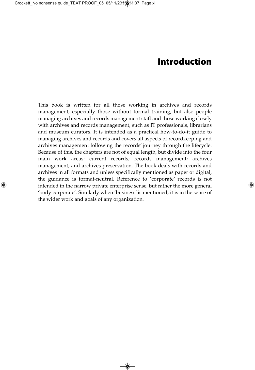## **Introduction**

This book is written for all those working in archives and records management, especially those without formal training, but also people managing archives and records management staff and those working closely with archives and records management, such as IT professionals, librarians and museum curators. It is intended as a practical how-to-do-it guide to managing archives and records and covers all aspects of recordkeeping and archives management following the records' journey through the lifecycle. Because of this, the chapters are not of equal length, but divide into the four main work areas: current records; records management; archives management; and archives preservation. The book deals with records and archives in all formats and unless specifically mentioned as paper or digital, the guidance is format-neutral. Reference to 'corporate' records is not intended in the narrow private enterprise sense, but rather the more general 'body corporate'. Similarly when 'business' is mentioned, it is in the sense of the wider work and goals of any organization.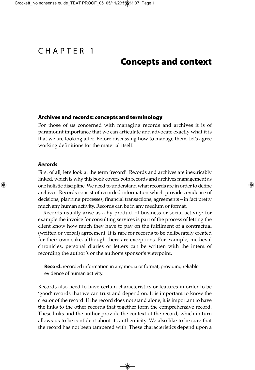## CHAPTER 1

## **Concepts and context**

#### **Archives and records: concepts and terminology**

For those of us concerned with managing records and archives it is of paramount importance that we can articulate and advocate exactly what it is that we are looking after. Before discussing how to manage them, let's agree working definitions for the material itself.

#### *Records*

First of all, let's look at the term 'record'. Records and archives are inextricably linked, which is why this book covers both records and archives management as one holistic discipline. We need to understand what records are in order to define archives. Records consist of recorded information which provides evidence of decisions, planning processes, financial transactions, agreements – in fact pretty much any human activity. Records can be in any medium or format.

Records usually arise as a by-product of business or social activity: for example the invoice for consulting services is part of the process of letting the client know how much they have to pay on the fulfilment of a contractual (written or verbal) agreement. It is rare for records to be deliberately created for their own sake, although there are exceptions. For example, medieval chronicles, personal diaries or letters can be written with the intent of recording the author's or the author's sponsor's viewpoint.

**Record:** recorded information in any media or format, providing reliable evidence of human activity.

Records also need to have certain characteristics or features in order to be 'good' records that we can trust and depend on. It is important to know the creator of the record. If the record does not stand alone, it is important to have the links to the other records that together form the comprehensive record. These links and the author provide the context of the record, which in turn allows us to be confident about its authenticity. We also like to be sure that the record has not been tampered with. These characteristics depend upon a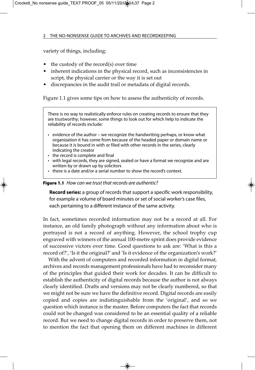variety of things, including:

- the custody of the record(s) over time
- inherent indications in the physical record, such as inconsistencies in script, the physical carrier or the way it is set out
- discrepancies in the audit trail or metadata of digital records.

Figure 1.1 gives some tips on how to assess the authenticity of records.

There is no way to realistically enforce rules on creating records to ensure that they are trustworthy; however, some things to look out for which help to indicate the reliability of records include:

- evidence of the author we recognize the handwriting perhaps, or know what organization it has come from because of the headed paper or domain name or because it is bound in with or filed with other records in the series, clearly indicating the creator
- the record is complete and final
- with legal records, they are signed, sealed or have a format we recognize and are written by or drawn up by solicitors
- there is a date and/or a serial number to show the record's context.

#### **Figure 1.1** How can we trust that records are authentic?

**Record series:** a group of records that support a specific work responsibility, for example a volume of board minutes or set of social worker's case files, each pertaining to a different instance of the same activity.

In fact, sometimes recorded information may not be a record at all. For instance, an old family photograph without any information about who is portrayed is not a record of anything. However, the school trophy cup engraved with winners of the annual 100-metre sprint does provide evidence of successive victors over time. Good questions to ask are: 'What is this a record of?', 'Is it the original?' and 'Is it evidence of the organization's work?'

With the advent of computers and recorded information in digital format, archives and records management professionals have had to reconsider many of the principles that guided their work for decades. It can be difficult to establish the authenticity of digital records because the author is not always clearly identified. Drafts and versions may not be clearly numbered, so that we might not be sure we have the definitive record. Digital records are easily copied and copies are indistinguishable from the 'original', and so we question which instance is the master. Before computers the fact that records could not be changed was considered to be an essential quality of a reliable record. But we need to change digital records in order to preserve them, not to mention the fact that opening them on different machines in different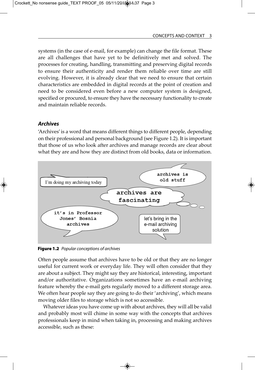systems (in the case of e-mail, for example) can change the file format. These are all challenges that have yet to be definitively met and solved. The processes for creating, handling, transmitting and preserving digital records to ensure their authenticity and render them reliable over time are still evolving. However, it is already clear that we need to ensure that certain characteristics are embedded in digital records at the point of creation and need to be considered even before a new computer system is designed, specified or procured, to ensure they have the necessary functionality to create and maintain reliable records.

## *Archives*

'Archives'is a word that means different things to different people, depending on their professional and personal background (see Figure 1.2). It is important that those of us who look after archives and manage records are clear about what they are and how they are distinct from old books, data or information.



**Figure 1.2** Popular conceptions of archives

Often people assume that archives have to be old or that they are no longer useful for current work or everyday life. They will often consider that they are about a subject. They might say they are historical, interesting, important and/or authoritative. Organizations sometimes have an e-mail archiving feature whereby the e-mail gets regularly moved to a different storage area. We often hear people say they are going to do their 'archiving', which means moving older files to storage which is not so accessible.

Whatever ideas you have come up with about archives, they will all be valid and probably most will chime in some way with the concepts that archives professionals keep in mind when taking in, processing and making archives accessible, such as these: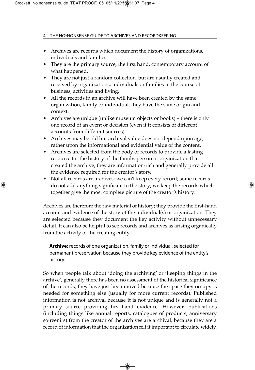- Archives are records which document the history of organizations, individuals and families.
- They are the primary source, the first hand, contemporary account of what happened.
- They are not just a random collection, but are usually created and received by organizations, individuals or families in the course of business, activities and living.
- All the records in an archive will have been created by the same organization, family or individual, they have the same origin and context.
- Archives are unique (unlike museum objects or books) there is only one record of an event or decision (even if it consists of different accounts from different sources).
- Archives may be old but archival value does not depend upon age, rather upon the informational and evidential value of the content.
- Archives are selected from the body of records to provide a lasting resource for the history of the family, person or organization that created the archive; they are information-rich and generally provide all the evidence required for the creator's story.
- Not all records are archives: we can't keep every record; some records do not add anything significant to the story; we keep the records which together give the most complete picture of the creator's history.

Archives are therefore the raw material of history; they provide the first-hand account and evidence of the story of the individual(s) or organization. They are selected because they document the key activity without unnecessary detail. It can also be helpful to see records and archives as arising organically from the activity of the creating entity.

**Archive:** records of one organization, family or individual, selected for permanent preservation because they provide key evidence of the entity's history.

So when people talk about 'doing the archiving' or 'keeping things in the archive', generally there has been no assessment of the historical significance of the records; they have just been moved because the space they occupy is needed for something else (usually for more current records). Published information is not archival because it is not unique and is generally not a primary source providing first-hand evidence. However, publications (including things like annual reports, catalogues of products, anniversary souvenirs) from the creator of the archives are archival, because they are a record of information that the organization felt it important to circulate widely.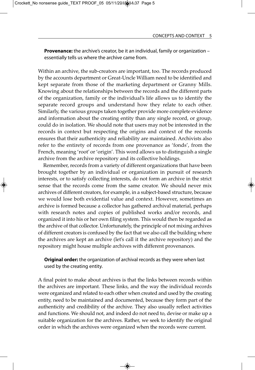**Provenance:** the archive's creator, be it an individual, family or organization – essentially tells us where the archive came from.

Within an archive, the sub-creators are important, too. The records produced by the accounts department or Great-Uncle William need to be identified and kept separate from those of the marketing department or Granny Mills. Knowing about the relationships between the records and the different parts of the organization, family or the individual's life allows us to identify the separate record groups and understand how they relate to each other. Similarly, the various groups taken together provide more complete evidence and information about the creating entity than any single record, or group, could do in isolation. We should note that users may not be interested in the records in context but respecting the origins and context of the records ensures that their authenticity and reliability are maintained. Archivists also refer to the entirety of records from one provenance as 'fonds', from the French, meaning 'root' or 'origin'. This word allows us to distinguish a single archive from the archive repository and its collective holdings.

Remember, records from a variety of different organizations that have been brought together by an individual or organization in pursuit of research interests, or to satisfy collecting interests, do not form an archive in the strict sense that the records come from the same creator. We should never mix archives of different creators, for example, in a subject-based structure, because we would lose both evidential value and context. However, sometimes an archive is formed because a collector has gathered archival material, perhaps with research notes and copies of published works and/or records, and organized it into his or her own filing system. This would then be regarded as the archive of that collector. Unfortunately, the principle of not mixing archives of different creators is confused by the fact that we also call the building where the archives are kept an archive (let's call it the archive repository) and the repository might house multiple archives with different provenances.

**Original order:** the organization of archival records as they were when last used by the creating entity.

A final point to make about archives is that the links between records within the archives are important. These links, and the way the individual records were organized and related to each other when created and used by the creating entity, need to be maintained and documented, because they form part of the authenticity and credibility of the archive. They also usually reflect activities and functions. We should not, and indeed do not need to, devise or make up a suitable organization for the archives. Rather, we seek to identify the original order in which the archives were organized when the records were current.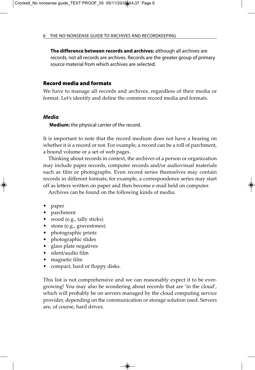**The difference between records and archives:** although all archives are records, not all records are archives. Records are the greater group of primary source material from which archives are selected.

#### **Record media and formats**

We have to manage all records and archives, regardless of their media or format. Let's identify and define the common record media and formats.

#### *Media*

**Medium:** the physical carrier of the record.

It is important to note that the record medium does not have a bearing on whether it is a record or not. For example, a record can be a roll of parchment, a bound volume or a set of web pages.

Thinking about records in context, the archives of a person or organization may include paper records, computer records and/or audiovisual materials such as film or photographs. Even record series themselves may contain records in different formats; for example, a correspondence series may start off as letters written on paper and then become e-mail held on computer.

Archives can be found on the following kinds of media:

- paper
- parchment
- wood (e.g., tally sticks)
- stone (e.g., gravestones)
- photographic prints
- photographic slides
- glass plate negatives
- silent/audio film
- magnetic film
- compact, hard or floppy disks.

This list is not comprehensive and we can reasonably expect it to be evergrowing! You may also be wondering about records that are 'in the cloud', which will probably be on servers managed by the cloud computing service provider, depending on the communication or storage solution used. Servers are, of course, hard drives.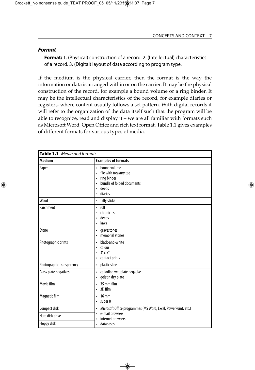## *Format*

**Format:** 1. (Physical) construction of a record. 2. (Intellectual) characteristics of a record. 3. (Digital) layout of data according to program type.

If the medium is the physical carrier, then the format is the way the information or data is arranged within or on the carrier. It may be the physical construction of the record, for example a bound volume or a ring binder. It may be the intellectual characteristics of the record, for example diaries or registers, where content usually follows a set pattern. With digital records it will refer to the organization of the data itself such that the program will be able to recognize, read and display it – we are all familiar with formats such as Microsoft Word, Open Office and rich text format. Table 1.1 gives examples of different formats for various types of media.

| Table 1.1 Media and formats |                                                                                                                                                                                       |  |  |
|-----------------------------|---------------------------------------------------------------------------------------------------------------------------------------------------------------------------------------|--|--|
| <b>Medium</b>               | <b>Examples of formats</b>                                                                                                                                                            |  |  |
| Paper                       | bound volume<br>$\bullet$<br>file with treasury tag<br>$\bullet$<br>ring binder<br>$\bullet$<br>bundle of folded documents<br>$\bullet$<br>deeds<br>$\bullet$<br>diaries<br>$\bullet$ |  |  |
| Wood                        | tally sticks<br>$\bullet$                                                                                                                                                             |  |  |
| Parchment                   | roll<br>$\bullet$<br>chronicles<br>$\bullet$<br>deeds<br>$\bullet$<br>laws                                                                                                            |  |  |
| Stone                       | gravestones<br>memorial stones                                                                                                                                                        |  |  |
| Photographic prints         | black-and-white<br>$\bullet$<br>colour<br>$3'' \times 5''$<br>۰<br>contact prints<br>$\bullet$                                                                                        |  |  |
| Photographic transparency   | plastic slide<br>$\bullet$                                                                                                                                                            |  |  |
| Glass plate negatives       | collodion wet plate negative<br>$\bullet$<br>gelatin dry plate<br>$\bullet$                                                                                                           |  |  |
| Movie film                  | 35 mm film<br>$\bullet$<br>3D film<br>$\bullet$                                                                                                                                       |  |  |
| Magnetic film               | <b>16 mm</b><br>$\bullet$<br>super 8<br>$\bullet$                                                                                                                                     |  |  |
| Compact disk                | Microsoft Office programmes (MS Word, Excel, PowerPoint, etc.)<br>$\bullet$                                                                                                           |  |  |
| Hard disk drive             | e-mail browsers<br>internet browsers                                                                                                                                                  |  |  |
| Floppy disk                 | databases<br>$\bullet$                                                                                                                                                                |  |  |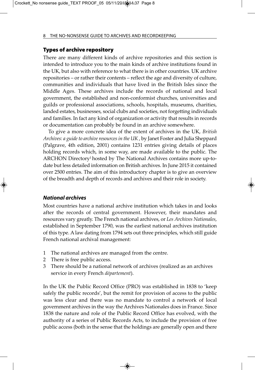## **Types of archive repository**

There are many different kinds of archive repositories and this section is intended to introduce you to the main kinds of archive institutions found in the UK, but also with reference to what there is in other countries. UK archive repositories – or rather their contents – reflect the age and diversity of culture, communities and individuals that have lived in the British Isles since the Middle Ages. These archives include the records of national and local government, the established and non-conformist churches, universities and guilds or professional associations, schools, hospitals, museums, charities, landed estates, businesses, social clubs and societies, not forgetting individuals and families. In fact any kind of organization or activity that results in records or documentation can probably be found in an archive somewhere.

To give a more concrete idea of the extent of archives in the UK, *British* Archives: a guide to archive resources in the UK, by Janet Foster and Julia Sheppard (Palgrave, 4th edition, 2001) contains 1231 entries giving details of places holding records which, in some way, are made available to the public. The ARCHON Directory<sup>1</sup> hosted by The National Archives contains more up-todate but less detailed information on British archives. In June 2015 it contained over 2500 entries. The aim of this introductory chapter is to give an overview of the breadth and depth of records and archives and their role in society.

## *National archives*

Most countries have a national archive institution which takes in and looks after the records of central government. However, their mandates and resources vary greatly. The French national archives, or *Les Archives Nationales*, established in September 1790, was the earliest national archives institution of this type. Alaw dating from 1794 sets out three principles, which still guide French national archival management:

- 1 The national archives are managed from the centre.
- 2 There is free public access.
- 3 There should be a national network of archives (realized as an archives service in every French *département*).

In the UK the Public Record Office (PRO) was established in 1838 to 'keep safely the public records', but the remit for provision of access to the public was less clear and there was no mandate to control a network of local government archives in the way the Archives Nationales does in France. Since 1838 the nature and role of the Public Record Office has evolved, with the authority of a series of Public Records Acts, to include the provision of free public access (both in the sense that the holdings are generally open and there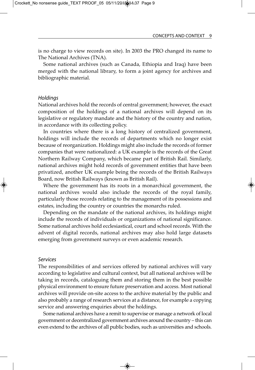is no charge to view records on site). In 2003 the PRO changed its name to The National Archives (TNA).

Some national archives (such as Canada, Ethiopia and Iraq) have been merged with the national library, to form a joint agency for archives and bibliographic material.

#### **Holdings**

National archives hold the records of central government; however, the exact composition of the holdings of a national archives will depend on its legislative or regulatory mandate and the history of the country and nation, in accordance with its collecting policy.

In countries where there is a long history of centralized government, holdings will include the records of departments which no longer exist because of reorganization. Holdings might also include the records of former companies that were nationalized: a UK example is the records of the Great Northern Railway Company, which became part of British Rail. Similarly, national archives might hold records of government entities that have been privatized, another UK example being the records of the British Railways Board, now British Railways (known as British Rail).

Where the government has its roots in a monarchical government, the national archives would also include the records of the royal family, particularly those records relating to the management of its possessions and estates, including the country or countries the monarchs ruled.

Depending on the mandate of the national archives, its holdings might include the records of individuals or organizations of national significance. Some national archives hold ecclesiastical, court and school records. With the advent of digital records, national archives may also hold large datasets emerging from government surveys or even academic research.

#### Services

The responsibilities of and services offered by national archives will vary according to legislative and cultural context, but all national archives will be taking in records, cataloguing them and storing them in the best possible physical environment to ensure future preservation and access. Most national archives will provide on-site access to the archive material by the public and also probably a range of research services at a distance, for example a copying service and answering enquiries about the holdings.

Some national archives have a remit to supervise or manage a network of local government or decentralized government archives around the country – this can even extend to the archives of all public bodies, such as universities and schools.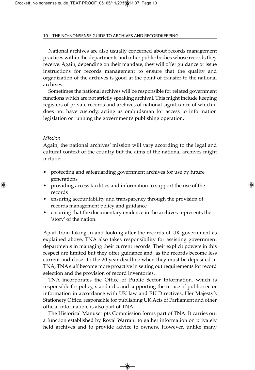National archives are also usually concerned about records management practices within the departments and other public bodies whose records they receive. Again, depending on their mandate, they will offer guidance or issue instructions for records management to ensure that the quality and organization of the archives is good at the point of transfer to the national archives.

Sometimes the national archives will be responsible for related government functions which are not strictly speaking archival. This might include keeping registers of private records and archives of national significance of which it does not have custody, acting as ombudsman for access to information legislation or running the government's publishing operation.

#### Mission

Again, the national archives' mission will vary according to the legal and cultural context of the country but the aims of the national archives might include:

- protecting and safeguarding government archives for use by future generations
- providing access facilities and information to support the use of the records
- ensuring accountability and transparency through the provision of records management policy and guidance
- ensuring that the documentary evidence in the archives represents the 'story' of the nation.

Apart from taking in and looking after the records of UK government as explained above, TNA also takes responsibility for assisting government departments in managing their current records. Their explicit powers in this respect are limited but they offer guidance and, as the records become less current and closer to the 20-year deadline when they must be deposited in TNA, TNA staff become more proactive in setting out requirements for record selection and the provision of record inventories.

TNA incorporates the Office of Public Sector Information, which is responsible for policy, standards, and supporting the re-use of public sector information in accordance with UK law and EU Directives. Her Majesty's Stationery Office, responsible for publishing UK Acts of Parliament and other official information, is also part of TNA.

The Historical Manuscripts Commission forms part of TNA. It carries out a function established by Royal Warrant to gather information on privately held archives and to provide advice to owners. However, unlike many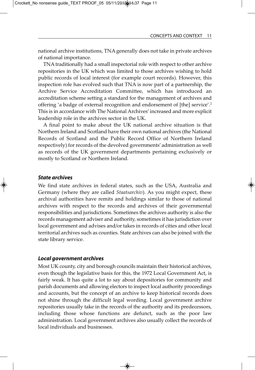national archive institutions, TNA generally does not take in private archives of national importance.

TNAtraditionally had a small inspectorial role with respect to other archive repositories in the UK which was limited to those archives wishing to hold public records of local interest (for example court records). However, this inspection role has evolved such that TNA is now part of a partnership, the Archive Service Accreditation Committee, which has introduced an accreditation scheme setting a standard for the management of archives and offering 'a badge of external recognition and endorsement of [the] service'. 2 This is in accordance with The National Archives'increased and more explicit leadership role in the archives sector in the UK.

A final point to make about the UK national archive situation is that Northern Ireland and Scotland have their own national archives (the National Records of Scotland and the Public Record Office of Northern Ireland respectively) for records of the devolved governments' administration as well as records of the UK government departments pertaining exclusively or mostly to Scotland or Northern Ireland.

#### *State archives*

We find state archives in federal states, such as the USA, Australia and Germany (where they are called *Staatsarchiv*). As you might expect, these archival authorities have remits and holdings similar to those of national archives with respect to the records and archives of their governmental responsibilities and jurisdictions. Sometimes the archives authority is also the records management adviser and authority, sometimes it has jurisdiction over local government and advises and/or takes in records of cities and other local territorial archives such as counties. State archives can also be joined with the state library service.

#### *Local government archives*

Most UK county, city and borough councils maintain their historical archives, even though the legislative basis for this, the 1972 Local Government Act, is fairly weak. It has quite a lot to say about depositories for community and parish documents and allowing electors to inspect local authority proceedings and accounts, but the concept of an archive to keep historical records does not shine through the difficult legal wording. Local government archive repositories usually take in the records of the authority and its predecessors, including those whose functions are defunct, such as the poor law administration. Local government archives also usually collect the records of local individuals and businesses.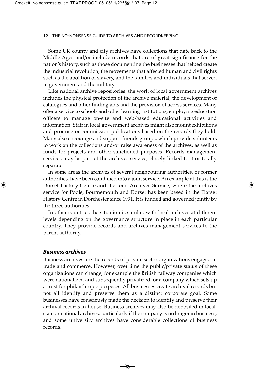Some UK county and city archives have collections that date back to the Middle Ages and/or include records that are of great significance for the nation's history, such as those documenting the businesses that helped create the industrial revolution, the movements that affected human and civil rights such as the abolition of slavery, and the families and individuals that served in government and the military.

Like national archive repositories, the work of local government archives includes the physical protection of the archive material, the development of catalogues and other finding aids and the provision of access services. Many offer a service to schools and other learning institutions, employing education officers to manage on-site and web-based educational activities and information. Staff in local government archives might also mount exhibitions and produce or commission publications based on the records they hold. Many also encourage and support friends groups, which provide volunteers to work on the collections and/or raise awareness of the archives, as well as funds for projects and other sanctioned purposes. Records management services may be part of the archives service, closely linked to it or totally separate.

In some areas the archives of several neighbouring authorities, or former authorities, have been combined into a joint service. An example of this is the Dorset History Centre and the Joint Archives Service, where the archives service for Poole, Bournemouth and Dorset has been based in the Dorset History Centre in Dorchester since 1991. It is funded and governed jointly by the three authorities.

In other countries the situation is similar, with local archives at different levels depending on the governance structure in place in each particular country. They provide records and archives management services to the parent authority.

#### *Business archives*

Business archives are the records of private sector organizations engaged in trade and commerce. However, over time the public/private status of these organizations can change, for example the British railway companies which were nationalized and subsequently privatized, or a company which sets up a trust for philanthropic purposes. All businesses create archival records but not all identify and preserve them as a distinct corporate goal. Some businesses have consciously made the decision to identify and preserve their archival records in-house. Business archives may also be deposited in local, state or national archives, particularly if the company is no longer in business, and some university archives have considerable collections of business records.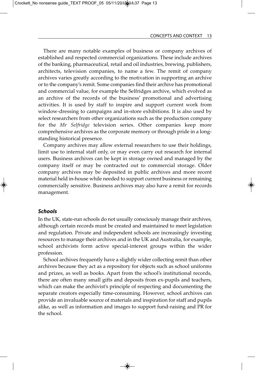There are many notable examples of business or company archives of established and respected commercial organizations. These include archives of the banking, pharmaceutical, retail and oil industries, brewing, publishers, architects, television companies, to name a few. The remit of company archives varies greatly according to the motivation in supporting an archive or to the company's remit. Some companies find their archive has promotional and commercial value, for example the Selfridges archive, which evolved as an archive of the records of the business' promotional and advertising activities. It is used by staff to inspire and support current work from window-dressing to campaigns and in-store exhibitions. It is also used by select researchers from other organizations such as the production company for the *Mr Selfridge* television series. Other companies keep more comprehensive archives as the corporate memory or through pride in a longstanding historical presence.

Company archives may allow external researchers to use their holdings, limit use to internal staff only, or may even carry out research for internal users. Business archives can be kept in storage owned and managed by the company itself or may be contracted out to commercial storage. Older company archives may be deposited in public archives and more recent material held in-house while needed to support current business or remaining commercially sensitive. Business archives may also have a remit for records management.

#### *Schools*

In the UK, state-run schools do not usually consciously manage their archives, although certain records must be created and maintained to meet legislation and regulation. Private and independent schools are increasingly investing resources to manage their archives and in the UK and Australia, for example, school archivists form active special-interest groups within the wider profession.

School archives frequently have a slightly wider collecting remit than other archives because they act as a repository for objects such as school uniforms and prizes, as well as books. Apart from the school's institutional records, there are often many small gifts and deposits from ex-pupils and teachers, which can make the archivist's principle of respecting and documenting the separate creators especially time-consuming. However, school archives can provide an invaluable source of materials and inspiration for staff and pupils alike, as well as information and images to support fund-raising and PR for the school.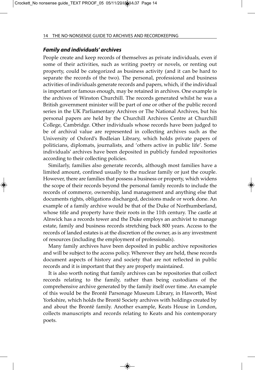## *Family and individuals' archives*

People create and keep records of themselves as private individuals, even if some of their activities, such as writing poetry or novels, or renting out property, could be categorized as business activity (and it can be hard to separate the records of the two). The personal, professional and business activities of individuals generate records and papers, which, if the individual is important or famous enough, may be retained in archives. One example is the archives of Winston Churchill. The records generated whilst he was a British government minister will be part of one or other of the public record series in the UK Parliamentary Archives or The National Archives, but his personal papers are held by the Churchill Archives Centre at Churchill College, Cambridge. Other individuals whose records have been judged to be of archival value are represented in collecting archives such as the University of Oxford's Bodleian Library, which holds private papers of politicians, diplomats, journalists, and 'others active in public life'. Some individuals' archives have been deposited in publicly funded repositories according to their collecting policies.

Similarly, families also generate records, although most families have a limited amount, confined usually to the nuclear family or just the couple. However, there are families that possess a business or property, which widens the scope of their records beyond the personal family records to include the records of commerce, ownership, land management and anything else that documents rights, obligations discharged, decisions made or work done. An example of a family archive would be that of the Duke of Northumberland, whose title and property have their roots in the 11th century. The castle at Alnwick has a records tower and the Duke employs an archivist to manage estate, family and business records stretching back 800 years. Access to the records of landed estates is at the discretion of the owner, as is any investment of resources (including the employment of professionals).

Many family archives have been deposited in public archive repositories and will be subject to the access policy. Wherever they are held, these records document aspects of history and society that are not reflected in public records and it is important that they are properly maintained.

It is also worth noting that family archives can be repositories that collect records relating to the family, rather than being custodians of the comprehensive archive generated by the family itself over time. An example of this would be the Brontë Parsonage Museum Library, in Haworth, West Yorkshire, which holds the Brontë Society archives with holdings created by and about the Brontë family. Another example, Keats House in London, collects manuscripts and records relating to Keats and his contemporary poets.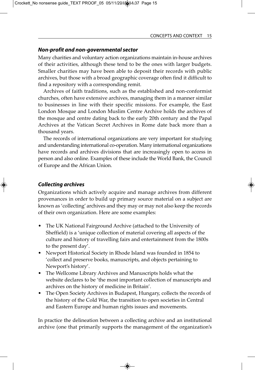#### *Non-profit and non-governmental sector*

Many charities and voluntary action organizations maintain in-house archives of their activities, although these tend to be the ones with larger budgets. Smaller charities may have been able to deposit their records with public archives, but those with a broad geographic coverage often find it difficult to find a repository with a corresponding remit.

Archives of faith traditions, such as the established and non-conformist churches, often have extensive archives, managing them in a manner similar to businesses in line with their specific missions. For example, the East London Mosque and London Muslim Centre Archive holds the archives of the mosque and centre dating back to the early 20th century and the Papal Archives at the Vatican Secret Archives in Rome date back more than a thousand years.

The records of international organizations are very important for studying and understanding international co-operation. Many international organizations have records and archives divisions that are increasingly open to access in person and also online. Examples of these include the World Bank, the Council of Europe and the African Union.

## *Collecting archives*

Organizations which actively acquire and manage archives from different provenances in order to build up primary source material on a subject are known as 'collecting' archives and they may or may not also keep the records of their own organization. Here are some examples:

- The UK National Fairground Archive (attached to the University of Sheffield) is a 'unique collection of material covering all aspects of the culture and history of travelling fairs and entertainment from the 1800s to the present day'.
- Newport Historical Society in Rhode Island was founded in 1854 to 'collect and preserve books, manuscripts, and objects pertaining to Newport's history'.
- The Wellcome Library Archives and Manuscripts holds what the website declares to be 'the most important collection of manuscripts and archives on the history of medicine in Britain'.
- The Open Society Archives in Budapest, Hungary, collects the records of the history of the Cold War, the transition to open societies in Central and Eastern Europe and human rights issues and movements.

In practice the delineation between a collecting archive and an institutional archive (one that primarily supports the management of the organization's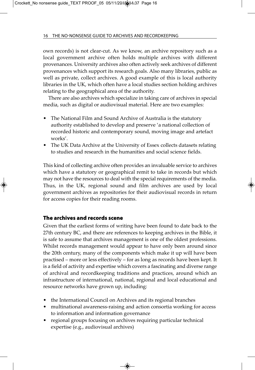own records) is not clear-cut. As we know, an archive repository such as a local government archive often holds multiple archives with different provenances. University archives also often actively seek archives of different provenances which support its research goals. Also many libraries, public as well as private, collect archives. A good example of this is local authority libraries in the UK, which often have a local studies section holding archives relating to the geographical area of the authority.

There are also archives which specialize in taking care of archives in special media, such as digital or audiovisual material. Here are two examples:

- The National Film and Sound Archive of Australia is the statutory authority established to develop and preserve 'a national collection of recorded historic and contemporary sound, moving image and artefact works'.
- The UK Data Archive at the University of Essex collects datasets relating to studies and research in the humanities and social science fields.

This kind of collecting archive often provides an invaluable service to archives which have a statutory or geographical remit to take in records but which may not have the resources to deal with the special requirements of the media. Thus, in the UK, regional sound and film archives are used by local government archives as repositories for their audiovisual records in return for access copies for their reading rooms.

## **The archives and records scene**

Given that the earliest forms of writing have been found to date back to the 27th century BC, and there are references to keeping archives in the Bible, it is safe to assume that archives management is one of the oldest professions. Whilst records management would appear to have only been around since the 20th century, many of the components which make it up will have been practised – more or less effectively – for as long as records have been kept. It is a field of activity and expertise which covers a fascinating and diverse range of archival and recordkeeping traditions and practices, around which an infrastructure of international, national, regional and local educational and resource networks have grown up, including:

- the International Council on Archives and its regional branches
- multinational awareness-raising and action consortia working for access to information and information governance
- regional groups focusing on archives requiring particular technical expertise (e.g., audiovisual archives)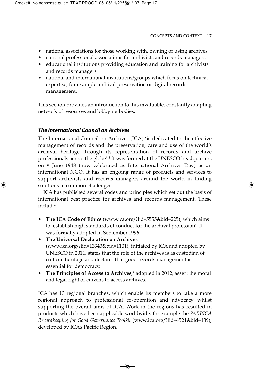- national associations for those working with, owning or using archives
- national professional associations for archivists and records managers
- educational institutions providing education and training for archivists and records managers
- national and international institutions/groups which focus on technical expertise, for example archival preservation or digital records management.

This section provides an introduction to this invaluable, constantly adapting network of resources and lobbying bodies.

## *The International Council on Archives*

The International Council on Archives (ICA) 'is dedicated to the effective management of records and the preservation, care and use of the world's archival heritage through its representation of records and archive professionals across the globe'. <sup>3</sup> It was formed at the UNESCO headquarters on 9 June 1948 (now celebrated as International Archives Day) as an international NGO. It has an ongoing range of products and services to support archivists and records managers around the world in finding solutions to common challenges.

ICA has published several codes and principles which set out the basis of international best practice for archives and records management. These include:

- **The ICA Code of Ethics** (www.ica.org/?lid=5555&bid=225), which aims to 'establish high standards of conduct for the archival profession'. It was formally adopted in September 1996.
- **The Universal Declaration on Archives** (www.ica.org/?lid=13343&bid=1101), initiated by ICA and adopted by UNESCO in 2011, states that the role of the archives is as custodian of cultural heritage and declares that good records management is essential for democracy.
- **The Principles of Access to Archives**, <sup>4</sup> adopted in 2012, assert the moral and legal right of citizens to access archives.

ICA has 13 regional branches, which enable its members to take a more regional approach to professional co-operation and advocacy whilst supporting the overall aims of ICA. Work in the regions has resulted in products which have been applicable worldwide, for example the *PARBICA Recordkeeping for Good Governance Toolkit* (www.ica.org/?lid=4521&bid=139), developed by ICA's Pacific Region.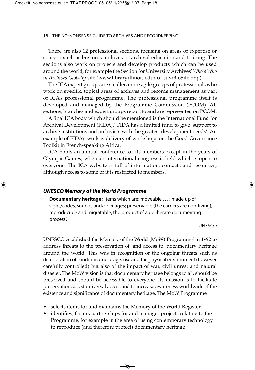There are also 12 professional sections, focusing on areas of expertise or concern such as business archives or archival education and training. The sections also work on projects and develop products which can be used around the world, for example the Section for University Archives'*Who's Who in Archives Globally* site (www.library.illinois.edu/ica-suv/BioSite.php).

The ICAexpert groups are smaller, more agile groups of professionals who work on specific, topical areas of archives and records management as part of ICA's professional programme. The professional programme itself is developed and managed by the Programme Commission (PCOM). All sections, branches and expert groups report to and are represented on PCOM.

A final ICA body which should be mentioned is the International Fund for Archival Development (FIDA). <sup>5</sup> FIDA has a limited fund to give 'support to archive institutions and archivists with the greatest development needs'. An example of FIDA's work is delivery of workshops on the Good Governance Toolkit in French-speaking Africa.

ICA holds an annual conference for its members except in the years of Olympic Games, when an international congress is held which is open to everyone. The ICA website is full of information, contacts and resources, although access to some of it is restricted to members.

#### *UNESCO Memory of the World Programme*

**Documentary heritage:**'items which are: moveable . . . ; made up of signs/codes, sounds and/or images; preservable (the carriers are non-living); reproducible and migratable; the product of a deliberate documenting process'.

#### UNESCO

UNESCO established the Memory of the World (MoW) Programme<sup>6</sup> in 1992 to address threats to the preservation of, and access to, documentary heritage around the world. This was in recognition of the ongoing threats such as deterioration of condition due to age, use and the physical environment (however carefully controlled) but also of the impact of war, civil unrest and natural disaster. The MoW vision is that documentary heritage belongs to all, should be preserved and should be accessible to everyone. Its mission is to facilitate preservation, assist universal access and to increase awareness worldwide of the existence and significance of documentary heritage. The MoW Programme:

- selects items for and maintains the Memory of the World Register
- identifies, fosters partnerships for and manages projects relating to the Programme, for example in the area of using contemporary technology to reproduce (and therefore protect) documentary heritage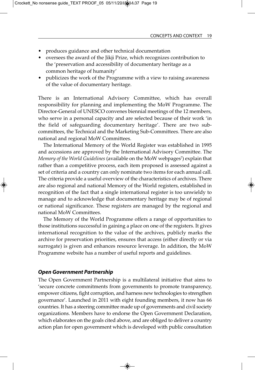- produces guidance and other technical documentation
- oversees the award of the Jikji Prize, which recognizes contribution to the 'preservation and accessibility of documentary heritage as a common heritage of humanity'
- publicizes the work of the Programme with a view to raising awareness of the value of documentary heritage.

There is an International Advisory Committee, which has overall responsibility for planning and implementing the MoW Programme. The Director-General of UNESCO convenes biennial meetings of the 12 members, who serve in a personal capacity and are selected because of their work 'in the field of safeguarding documentary heritage'. There are two subcommittees, the Technical and the Marketing Sub-Committees. There are also national and regional MoW Committees.

The International Memory of the World Register was established in 1995 and accessions are approved by the International Advisory Committee. The *Memory of the World Guidelines* (available on the MoW webpages7 ) explain that rather than a competitive process, each item proposed is assessed against a set of criteria and a country can only nominate two items for each annual call. The criteria provide a useful overview of the characteristics of archives. There are also regional and national Memory of the World registers, established in recognition of the fact that a single international register is too unwieldy to manage and to acknowledge that documentary heritage may be of regional or national significance. These registers are managed by the regional and national MoW Committees.

The Memory of the World Programme offers a range of opportunities to those institutions successful in gaining a place on one of the registers. It gives international recognition to the value of the archives, publicly marks the archive for preservation priorities, ensures that access (either directly or via surrogate) is given and enhances resource leverage. In addition, the MoW Programme website has a number of useful reports and guidelines.

#### *Open Government Partnership*

The Open Government Partnership is a multilateral initiative that aims to 'secure concrete commitments from governments to promote transparency, empower citizens, fight corruption, and harness new technologies to strengthen governance'. Launched in 2011 with eight founding members, it now has 66 countries. It has a steering committee made up of governments and civil society organizations. Members have to endorse the Open Government Declaration, which elaborates on the goals cited above, and are obliged to deliver a country action plan for open government which is developed with public consultation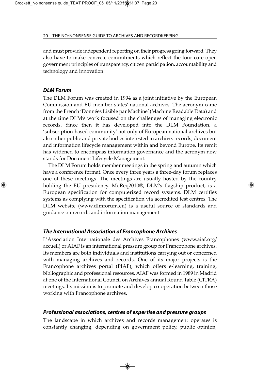and must provide independent reporting on their progress going forward. They also have to make concrete commitments which reflect the four core open government principles of transparency, citizen participation, accountability and technology and innovation.

### *DLM Forum*

The DLM Forum was created in 1994 as a joint initiative by the European Commission and EU member states' national archives. The acronym came from the French 'Données Lisible par Machine'(Machine Readable Data) and at the time DLM's work focused on the challenges of managing electronic records. Since then it has developed into the DLM Foundation, a 'subscription-based community' not only of European national archives but also other public and private bodies interested in archive, records, document and information lifecycle management within and beyond Europe. Its remit has widened to encompass information governance and the acronym now stands for Document Lifecycle Management.

The DLM Forum holds member meetings in the spring and autumn which have a conference format. Once every three years a three-day forum replaces one of these meetings. The meetings are usually hosted by the country holding the EU presidency. MoReq2010®, DLM's flagship product, is a European specification for computerized record systems. DLM certifies systems as complying with the specification via accredited test centres. The DLM website (www.dlmforum.eu) is a useful source of standards and guidance on records and information management.

## *The International Association of Francophone Archives*

L'Association Internationale des Archives Francophones (www.aiaf.org/ accueil) or AIAF is an international pressure group for Francophone archives. Its members are both individuals and institutions carrying out or concerned with managing archives and records. One of its major projects is the Francophone archives portal (PIAF), which offers e-learning, training, bibliographic and professional resources. AIAF was formed in 1989 in Madrid at one of the International Council on Archives annual Round Table (CITRA) meetings. Its mission is to promote and develop co-operation between those working with Francophone archives.

## *Professional associations, centres of expertise and pressure groups*

The landscape in which archives and records management operates is constantly changing, depending on government policy, public opinion,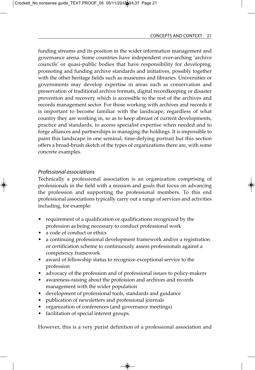funding streams and its position in the wider information management and governance arena. Some countries have independent over-arching 'archive councils' or quasi-public bodies that have responsibility for developing, promoting and funding archive standards and initiatives, possibly together with the other heritage fields such as museums and libraries. Universities or governments may develop expertise in areas such as conservation and preservation of traditional archive formats, digital recordkeeping or disaster prevention and recovery which is accessible to the rest of the archives and records management sector. For those working with archives and records it is important to become familiar with the landscape, regardless of what country they are working in, so as to keep abreast of current developments, practice and standards, to access specialist expertise when needed and to forge alliances and partnerships in managing the holdings. It is impossible to paint this landscape in one seminal, time-defying portrait but this section offers a broad-brush sketch of the types of organizations there are, with some concrete examples.

### Professional associations

Technically a professional association is an organization comprising of professionals in the field with a mission and goals that focus on advancing the profession and supporting the professional members. To this end professional associations typically carry out a range of services and activities including, for example:

- requirement of a qualification or qualifications recognized by the profession as being necessary to conduct professional work
- a code of conduct or ethics
- a continuing professional development framework and/or a registration or certification scheme to continuously assess professionals against a competency framework
- award of fellowship status to recognize exceptional service to the profession
- advocacy of the profession and of professional issues to policy-makers
- awareness-raising about the profession and archives and records management with the wider population
- development of professional tools, standards and guidance
- publication of newsletters and professional journals
- organization of conferences (and governance meetings)
- facilitation of special interest groups.

However, this is a very purist definition of a professional association and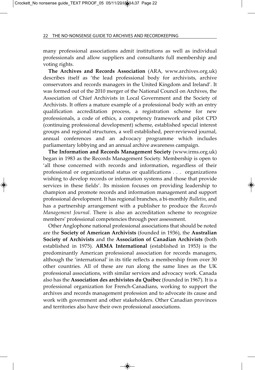many professional associations admit institutions as well as individual professionals and allow suppliers and consultants full membership and voting rights.

**The Archives and Records Association** (ARA, www.archives.org.uk) describes itself as 'the lead professional body for archivists, archive conservators and records managers in the United Kingdom and Ireland'. It was formed out of the 2010 merger of the National Council on Archives, the Association of Chief Archivists in Local Government and the Society of Archivists. It offers a mature example of a professional body with an entry qualification accreditation process, a registration scheme for new professionals, a code of ethics, a competency framework and pilot CPD (continuing professional development) scheme, established special interest groups and regional structures, a well established, peer-reviewed journal, annual conferences and an advocacy programme which includes parliamentary lobbying and an annual archive awareness campaign.

**The Information and Records Management Society** (www.irms.org.uk) began in 1983 as the Records Management Society. Membership is open to 'all those concerned with records and information, regardless of their professional or organizational status or qualifications . . . organizations wishing to develop records or information systems and those that provide services in these fields'. Its mission focuses on providing leadership to champion and promote records and information management and support professional development. It has regional branches, a bi-monthly *Bulletin*, and has a partnership arrangement with a publisher to produce the *Records Management Journal*. There is also an accreditation scheme to recognize members' professional competencies through peer assessment.

Other Anglophone national professional associations that should be noted are the **Society of American Archivists** (founded in 1936), the **Australian Society of Archivists** and the **Association of Canadian Archivists** (both established in 1975). **ARMA International** (established in 1953) is the predominantly American professional association for records managers, although the 'international' in its title reflects a membership from over 30 other countries. All of these are run along the same lines as the UK professional associations, with similar services and advocacy work. Canada also has the **Association des archivistes du Québec** (founded in 1967). It is a professional organization for French-Canadians, working to support the archives and records management profession and to advocate its cause and work with government and other stakeholders. Other Canadian provinces and territories also have their own professional associations.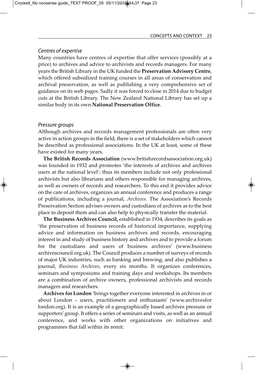#### Centres of expertise

Many countries have centres of expertise that offer services (possibly at a price) to archives and advice to archivists and records managers. For many years the British Library in the UK funded the **Preservation Advisory Centre**, which offered subsidized training courses in all areas of conservation and archival preservation, as well as publishing a very comprehensive set of guidance on its web pages. Sadly it was forced to close in 2014 due to budget cuts at the British Library. The New Zealand National Library has set up a similar body in its own **National Preservation Office**.

#### Pressure groups

Although archives and records management professionals are often very active in action groups in the field, there is a set of stakeholders which cannot be described as professional associations. In the UK at least, some of these have existed for many years.

**The British Records Association** (www.britishrecordsassociation.org.uk) was founded in 1932 and promotes 'the interests of archives and archives users at the national level'; thus its members include not only professional archivists but also librarians and others responsible for managing archives, as well as owners of records and researchers. To this end it provides advice on the care of archives, organizes an annual conference and produces a range of publications, including a journal, *Archives*. The Association's Records Preservation Section advises owners and custodians of archives as to the best place to deposit them and can also help to physically transfer the material.

**The Business Archives Council,** established in 1934, describes its goals as 'the preservation of business records of historical importance, supplying advice and information on business archives and records, encouraging interest in and study of business history and archives and to provide a forum for the custodians and users of business archives' (www.business archivescouncil.org.uk). The Council produces a number of surveys of records of major UK industries, such as banking and brewing, and also publishes a journal, *Business Archives*, every six months. It organizes conferences, seminars and symposiums and training days and workshops. Its members are a combination of archive owners, professional archivists and records managers and researchers.

**Archives for London** 'brings together everyone interested in archives in or about London – users, practitioners and enthusiasts' (www.archivesfor london.org). It is an example of a geographically based archives pressure or supporters'group. It offers a series of seminars and visits, as well as an annual conference, and works with other organizations on initiatives and programmes that fall within its remit.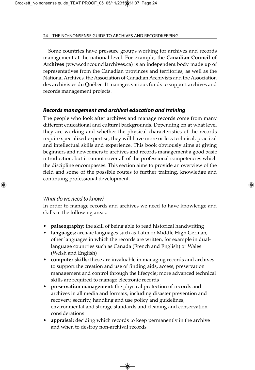Some countries have pressure groups working for archives and records management at the national level. For example, the **Canadian Council of Archives** (www.cdncouncilarchives.ca) is an independent body made up of representatives from the Canadian provinces and territories, as well as the National Archives, the Association of Canadian Archivists and the Association des archivistes du Québec. It manages various funds to support archives and records management projects.

## *Records management and archival education and training*

The people who look after archives and manage records come from many different educational and cultural backgrounds. Depending on at what level they are working and whether the physical characteristics of the records require specialized expertise, they will have more or less technical, practical and intellectual skills and experience. This book obviously aims at giving beginners and newcomers to archives and records management a good basic introduction, but it cannot cover all of the professional competencies which the discipline encompasses. This section aims to provide an overview of the field and some of the possible routes to further training, knowledge and continuing professional development.

## What do we need to know?

In order to manage records and archives we need to have knowledge and skills in the following areas:

- **palaeography:** the skill of being able to read historical handwriting
- **languages:** archaic languages such as Latin or Middle High German, other languages in which the records are written, for example in duallanguage countries such as Canada (French and English) or Wales (Welsh and English)
- **computer skills:** these are invaluable in managing records and archives to support the creation and use of finding aids, access, preservation management and control through the lifecycle; more advanced technical skills are required to manage electronic records
- **preservation management:** the physical protection of records and archives in all media and formats, including disaster prevention and recovery, security, handling and use policy and guidelines, environmental and storage standards and cleaning and conservation considerations
- **appraisal:** deciding which records to keep permanently in the archive and when to destroy non-archival records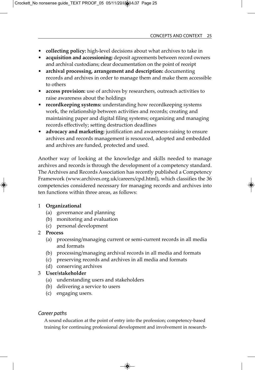- **collecting policy:** high-level decisions about what archives to take in
- **acquisition and accessioning:** deposit agreements between record owners and archival custodians; clear documentation on the point of receipt
- **archival processing, arrangement and description:** documenting records and archives in order to manage them and make them accessible to others
- **access provision:** use of archives by researchers, outreach activities to raise awareness about the holdings
- **recordkeeping systems:** understanding how recordkeeping systems work, the relationship between activities and records; creating and maintaining paper and digital filing systems; organizing and managing records effectively; setting destruction deadlines
- **advocacy and marketing:** justification and awareness-raising to ensure archives and records management is resourced, adopted and embedded and archives are funded, protected and used.

Another way of looking at the knowledge and skills needed to manage archives and records is through the development of a competency standard. The Archives and Records Association has recently published a Competency Framework (www.archives.org.uk/careers/cpd.html), which classifies the 36 competencies considered necessary for managing records and archives into ten functions within three areas, as follows:

## 1 **Organizational**

- (a) governance and planning
- (b) monitoring and evaluation
- (c) personal development
- 2 **Process**
	- (a) processing/managing current or semi-current records in all media and formats
	- (b) processing/managing archival records in all media and formats
	- (c) preserving records and archives in all media and formats
	- (d) conserving archives
- 3 **User/stakeholder**
	- (a) understanding users and stakeholders
	- (b) delivering a service to users
	- (c) engaging users.

## Career paths

A sound education at the point of entry into the profession; competency-based training for continuing professional development and involvement in research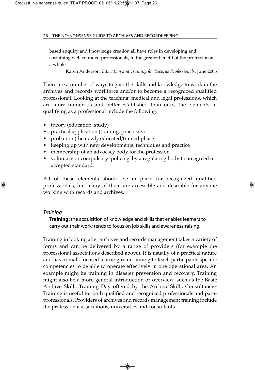based enquiry and knowledge creation all have roles in developing and sustaining well-rounded professionals, to the greater benefit of the profession as a whole.

Karen Anderson, *Education and Training for Records Professionals*, June 2006

There are a number of ways to gain the skills and knowledge to work in the archives and records workforce and/or to become a recognized qualified professional. Looking at the teaching, medical and legal professions, which are more numerous and better-established than ours, the elements in qualifying as a professional include the following:

- theory (education, study)
- practical application (training, practicals)
- probation (the newly educated/trained phase)
- keeping up with new developments, techniques and practice
- membership of an advocacy body for the profession
- voluntary or compulsory 'policing' by a regulating body to an agreed or accepted standard.

All of these elements should be in place for recognized qualified professionals, but many of them are accessible and desirable for anyone working with records and archives.

## Training

**Training:** the acquisition of knowledge and skills that enables learners to carry out their work; tends to focus on job skills and awareness-raising.

Training in looking after archives and records management takes a variety of forms and can be delivered by a range of providers (for example the professional associations described above). It is usually of a practical nature and has a small, focused learning remit aiming to teach participants specific competencies to be able to operate effectively in one operational area. An example might be training in disaster prevention and recovery. Training might also be a more general introduction or overview, such as the Basic Archive Skills Training Day offered by the Archive-Skills Consultancy. 8 Training is useful for both qualified and recognized professionals and paraprofessionals. Providers of archives and records management training include the professional associations, universities and consultants.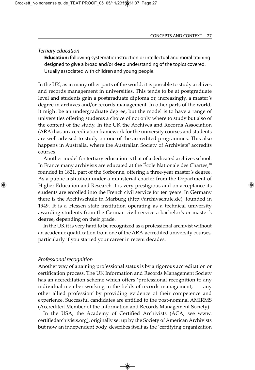#### Tertiary education

**Education:** following systematic instruction or intellectual and moral training designed to give a broad and/or deep understanding of the topics covered. Usually associated with children and young people.

In the UK, as in many other parts of the world, it is possible to study archives and records management in universities. This tends to be at postgraduate level and students gain a postgraduate diploma or, increasingly, a master's degree in archives and/or records management. In other parts of the world, it might be an undergraduate degree, but the model is to have a range of universities offering students a choice of not only where to study but also of the content of the study. In the UK the Archives and Records Association (ARA) has an accreditation framework for the university courses and students are well advised to study on one of the accredited programmes. This also happens in Australia, where the Australian Society of Archivists<sup>9</sup> accredits courses.

Another model for tertiary education is that of a dedicated archives school. In France many archivists are educated at the École Nationale des Chartes, 10 founded in 1821, part of the Sorbonne, offering a three-year master's degree. As a public institution under a ministerial charter from the Department of Higher Education and Research it is very prestigious and on acceptance its students are enrolled into the French civil service for ten years. In Germany there is the Archivschule in Marburg (http://archivschule.de), founded in 1949. It is a Hessen state institution operating as a technical university awarding students from the German civil service a bachelor's or master's degree, depending on their grade.

In the UK it is very hard to be recognized as a professional archivist without an academic qualification from one of the ARA-accredited university courses, particularly if you started your career in recent decades.

#### Professional recognition

Another way of attaining professional status is by a rigorous accreditation or certification process. The UK Information and Records Management Society has an accreditation scheme which offers 'professional recognition to any individual member working in the fields of records management, . . . any other allied profession' by providing evidence of their competence and experience. Successful candidates are entitled to the post-nominal AMIRMS (Accredited Member of the Information and Records Management Society).

In the USA, the Academy of Certified Archivists (ACA, see www. certifiedarchivists.org), originally set up by the Society of American Archivists but now an independent body, describes itself as the 'certifying organization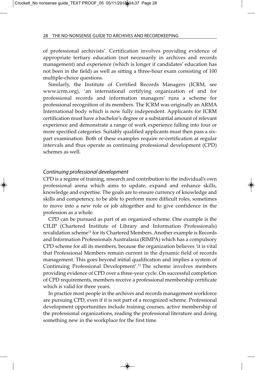of professional archivists'. Certification involves providing evidence of appropriate tertiary education (not necessarily in archives and records management) and experience (which is longer if candidates' education has not been in the field) as well as sitting a three-hour exam consisting of 100 multiple-choice questions.

Similarly, the Institute of Certified Records Managers (ICRM, see www.icrm.org), 'an international certifying organization of and for professional records and information managers' runs a scheme for professional recognition of its members. The ICRM was originally an ARMA International body which is now fully independent. Applicants for ICRM certification must have a bachelor's degree or a substantial amount of relevant experience and demonstrate a range of work experience falling into four or more specified categories. Suitably qualified applicants must then pass a sixpart examination. Both of these examples require re-certification at regular intervals and thus operate as continuing professional development (CPD) schemes as well.

#### Continuing professional development

CPD is a regime of training, research and contribution to the individual's own professional arena which aims to update, expand and enhance skills, knowledge and expertise. The goals are to ensure currency of knowledge and skills and competency, to be able to perform more difficult roles, sometimes to move into a new role or job altogether and to give confidence in the profession as a whole.

CPD can be pursued as part of an organized scheme. One example is the CILIP (Chartered Institute of Library and Information Professionals) revalidation scheme<sup>11</sup> for its Chartered Members. Another example is Records and Information Professionals Australasia (RIMPA) which has a compulsory CPD scheme for all its members, because the organization believes 'it is vital that Professional Members remain current in the dynamic field of records management. This goes beyond initial qualification and implies a system of Continuing Professional Development'. <sup>12</sup> The scheme involves members providing evidence of CPD over a three-year cycle. On successful completion of CPD requirements, members receive a professional membership certificate which is valid for three years.

In practice most people in the archives and records management workforce are pursuing CPD, even if it is not part of a recognized scheme. Professional development opportunities include training courses, active membership of the professional organizations, reading the professional literature and doing something new in the workplace for the first time.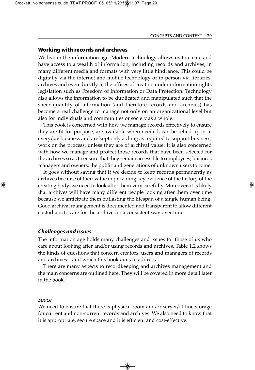#### **Working with records and archives**

We live in the information age. Modern technology allows us to create and have access to a wealth of information, including records and archives, in many different media and formats with very little hindrance. This could be digitally via the internet and mobile technology or in person via libraries, archives and even directly in the offices of creators under information rights legislation such as Freedom of Information or Data Protection. Technology also allows the information to be duplicated and manipulated such that the sheer quantity of information (and therefore records and archives) has become a real challenge to manage not only on an organizational level but also for individuals and communities or society as a whole.

This book is concerned with how we manage records effectively to ensure they are fit for purpose, are available when needed, can be relied upon in everyday business and are kept only as long as required to support business, work or the process, unless they are of archival value. It is also concerned with how we manage and protect those records that have been selected for the archives so as to ensure that they remain accessible to employees, business managers and owners, the public and generations of unknown users to come.

It goes without saying that if we decide to keep records permanently as archives because of their value in providing key evidence of the history of the creating body, we need to look after them very carefully. Moreover, it is likely that archives will have many different people looking after them over time because we anticipate them outlasting the lifespan of a single human being. Good archival management is documented and transparent to allow different custodians to care for the archives in a consistent way over time.

#### *Challenges and issues*

The information age holds many challenges and issues for those of us who care about looking after and/or using records and archives. Table 1.2 shows the kinds of questions that concern creators, users and managers of records and archives – and which this book aims to address.

There are many aspects to recordkeeping and archives management and the main concerns are outlined here. They will be covered in more detail later in the book.

#### Space

We need to ensure that there is physical room and/or server/offline storage for current and non-current records and archives. We also need to know that it is appropriate, secure space and it is efficient and cost-effective.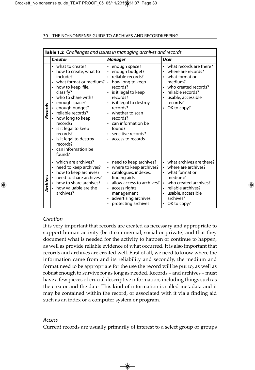| Table 1.2 Challenges and issues in managing archives and records |                                                                                                                                                                                                                                                                                                                                                                                      |                                                                                                                                                                                                                                                                                                   |                                                                                                                                                                                                             |
|------------------------------------------------------------------|--------------------------------------------------------------------------------------------------------------------------------------------------------------------------------------------------------------------------------------------------------------------------------------------------------------------------------------------------------------------------------------|---------------------------------------------------------------------------------------------------------------------------------------------------------------------------------------------------------------------------------------------------------------------------------------------------|-------------------------------------------------------------------------------------------------------------------------------------------------------------------------------------------------------------|
|                                                                  | Creator                                                                                                                                                                                                                                                                                                                                                                              | <b>Manager</b>                                                                                                                                                                                                                                                                                    | <b>User</b>                                                                                                                                                                                                 |
| Records                                                          | • what to create?<br>how to create, what to<br>include?<br>• what format or medium?<br>how to keep, file,<br>classify?<br>• who to share with?<br>• enough space?<br>• enough budget?<br>· reliable records?<br>how long to keep<br>$\bullet$<br>records?<br>is it legal to keep<br>$\bullet$<br>records?<br>is it legal to destroy<br>٠<br>records?<br>can information be<br>found? | enough space?<br>enough budget?<br>$\bullet$<br>reliable records?<br>how long to keep<br>$\bullet$<br>records?<br>is it legal to keep<br>records?<br>is it legal to destroy<br>records?<br>whether to scan<br>records?<br>can information be<br>found?<br>sensitive records?<br>access to records | what records are there?<br>where are records?<br>what format or<br>medium?<br>who created records?<br>reliable records?<br>$\bullet$<br>usable, accessible<br>records?<br>$\cdot$ OK to copy?               |
| Archives                                                         | • which are archives?<br>need to keep archives?<br>how to keep archives?<br>$\bullet$<br>need to share archives?<br>$\bullet$<br>• how to share archives?<br>how valuable are the<br>archives?                                                                                                                                                                                       | need to keep archives?<br>where to keep archives?<br>catalogues, indexes,<br>finding aids<br>allow access to archives?<br>access rights<br>$\bullet$<br>management<br>advertising archives<br>protecting archives                                                                                 | • what archives are there?<br>where are archives?<br>$\bullet$<br>what format or<br>medium?<br>• who created archives?<br>reliable archives?<br>usable, accessible<br>archives?<br>OK to copy?<br>$\bullet$ |

## Creation

It is very important that records are created as necessary and appropriate to support human activity (be it commercial, social or private) and that they document what is needed for the activity to happen or continue to happen, as well as provide reliable evidence of what occurred. It is also important that records and archives are created well. First of all, we need to know where the information came from and its reliability and secondly, the medium and format need to be appropriate for the use the record will be put to, as well as robust enough to survive for as long as needed. Records – and archives – must have a few pieces of crucial descriptive information, including things such as the creator and the date. This kind of information is called metadata and it may be contained within the record, or associated with it via a finding aid such as an index or a computer system or program.

## Access

Current records are usually primarily of interest to a select group or groups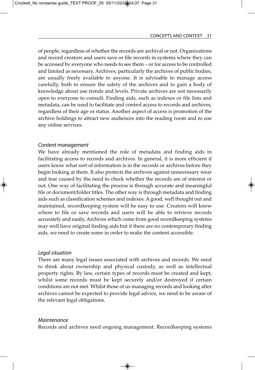of people, regardless of whether the records are archival or not. Organizations and record creators and users save or file records in systems where they can be accessed by everyone who needs to see them – or for access to be controlled and limited as necessary. Archives, particularly the archives of public bodies, are usually freely available to anyone. It is advisable to manage access carefully, both to ensure the safety of the archives and to gain a body of knowledge about use trends and levels. Private archives are not necessarily open to everyone to consult. Finding aids, such as indexes or file lists and metadata, can be used to facilitate and control access to records and archives, regardless of their age or status. Another aspect of access is promotion of the archive holdings to attract new audiences into the reading room and to use any online services.

#### Content management

We have already mentioned the role of metadata and finding aids in facilitating access to records and archives. In general, it is more efficient if users know what sort of information is in the records or archives before they begin looking at them. It also protects the archives against unnecessary wear and tear caused by the need to check whether the records are of interest or not. One way of facilitating the process is through accurate and meaningful file or document/folder titles. The other way is through metadata and finding aids such as classification schemes and indexes. Agood, well thought out and maintained, recordkeeping system will be easy to use. Creators will know where to file or save records and users will be able to retrieve records accurately and easily. Archives which come from good recordkeeping systems may well have original finding aids but if there are no contemporary finding aids, we need to create some in order to make the content accessible.

#### Legal situation

There are many legal issues associated with archives and records. We need to think about ownership and physical custody, as well as intellectual property rights. By law, certain types of records must be created and kept, whilst some records must be kept securely and/or destroyed if certain conditions are not met. Whilst those of us managing records and looking after archives cannot be expected to provide legal advice, we need to be aware of the relevant legal obligations.

#### Maintenance

Records and archives need ongoing management. Recordkeeping systems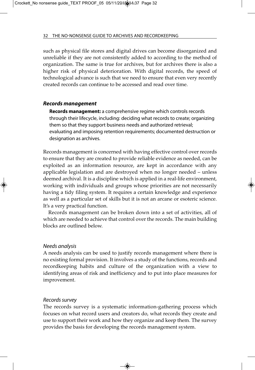such as physical file stores and digital drives can become disorganized and unreliable if they are not consistently added to according to the method of organization. The same is true for archives, but for archives there is also a higher risk of physical deterioration. With digital records, the speed of technological advance is such that we need to ensure that even very recently created records can continue to be accessed and read over time.

#### *Records management*

**Records management:** a comprehensive regime which controls records through their lifecycle, including: deciding what records to create; organizing them so that they support business needs and authorized retrieval; evaluating and imposing retention requirements; documented destruction or designation as archives.

Records management is concerned with having effective control over records to ensure that they are created to provide reliable evidence as needed, can be exploited as an information resource, are kept in accordance with any applicable legislation and are destroyed when no longer needed – unless deemed archival. It is a discipline which is applied in a real-life environment, working with individuals and groups whose priorities are not necessarily having a tidy filing system. It requires a certain knowledge and experience as well as a particular set of skills but it is not an arcane or esoteric science. It's a very practical function.

Records management can be broken down into a set of activities, all of which are needed to achieve that control over the records. The main building blocks are outlined below.

#### Needs analysis

A needs analysis can be used to justify records management where there is no existing formal provision. It involves a study of the functions, records and recordkeeping habits and culture of the organization with a view to identifying areas of risk and inefficiency and to put into place measures for improvement.

#### Records survey

The records survey is a systematic information-gathering process which focuses on what record users and creators do, what records they create and use to support their work and how they organize and keep them. The survey provides the basis for developing the records management system.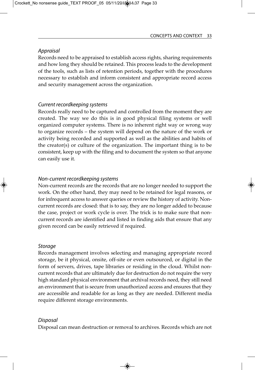## Appraisal

Records need to be appraised to establish access rights, sharing requirements and how long they should be retained. This process leads to the development of the tools, such as lists of retention periods, together with the procedures necessary to establish and inform consistent and appropriate record access and security management across the organization.

## Current recordkeeping systems

Records really need to be captured and controlled from the moment they are created. The way we do this is in good physical filing systems or well organized computer systems. There is no inherent right way or wrong way to organize records – the system will depend on the nature of the work or activity being recorded and supported as well as the abilities and habits of the creator(s) or culture of the organization. The important thing is to be consistent, keep up with the filing and to document the system so that anyone can easily use it.

## Non-current recordkeeping systems

Non-current records are the records that are no longer needed to support the work. On the other hand, they may need to be retained for legal reasons, or for infrequent access to answer queries or review the history of activity. Noncurrent records are closed: that is to say, they are no longer added to because the case, project or work cycle is over. The trick is to make sure that noncurrent records are identified and listed in finding aids that ensure that any given record can be easily retrieved if required.

## Storage

Records management involves selecting and managing appropriate record storage, be it physical, onsite, off-site or even outsourced, or digital in the form of servers, drives, tape libraries or residing in the cloud. Whilst noncurrent records that are ultimately due for destruction do not require the very high standard physical environment that archival records need, they still need an environment that is secure from unauthorized access and ensures that they are accessible and readable for as long as they are needed. Different media require different storage environments.

## Disposal

Disposal can mean destruction or removal to archives. Records which are not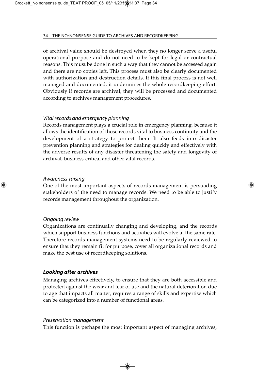of archival value should be destroyed when they no longer serve a useful operational purpose and do not need to be kept for legal or contractual reasons. This must be done in such a way that they cannot be accessed again and there are no copies left. This process must also be clearly documented with authorization and destruction details. If this final process is not well managed and documented, it undermines the whole recordkeeping effort. Obviously if records are archival, they will be processed and documented according to archives management procedures.

## Vital records and emergency planning

Records management plays a crucial role in emergency planning, because it allows the identification of those records vital to business continuity and the development of a strategy to protect them. It also feeds into disaster prevention planning and strategies for dealing quickly and effectively with the adverse results of any disaster threatening the safety and longevity of archival, business-critical and other vital records.

## Awareness-raising

One of the most important aspects of records management is persuading stakeholders of the need to manage records. We need to be able to justify records management throughout the organization.

## Ongoing review

Organizations are continually changing and developing, and the records which support business functions and activities will evolve at the same rate. Therefore records management systems need to be regularly reviewed to ensure that they remain fit for purpose, cover all organizational records and make the best use of recordkeeping solutions.

## *Looking after archives*

Managing archives effectively, to ensure that they are both accessible and protected against the wear and tear of use and the natural deterioration due to age that impacts all matter, requires a range of skills and expertise which can be categorized into a number of functional areas.

## Preservation management

This function is perhaps the most important aspect of managing archives,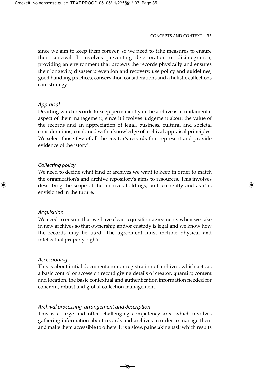since we aim to keep them forever, so we need to take measures to ensure their survival. It involves preventing deterioration or disintegration, providing an environment that protects the records physically and ensures their longevity, disaster prevention and recovery, use policy and guidelines, good handling practices, conservation considerations and a holistic collections care strategy.

#### Appraisal

Deciding which records to keep permanently in the archive is a fundamental aspect of their management, since it involves judgement about the value of the records and an appreciation of legal, business, cultural and societal considerations, combined with a knowledge of archival appraisal principles. We select those few of all the creator's records that represent and provide evidence of the 'story'.

#### Collecting policy

We need to decide what kind of archives we want to keep in order to match the organization's and archive repository's aims to resources. This involves describing the scope of the archives holdings, both currently and as it is envisioned in the future.

#### Acquisition

We need to ensure that we have clear acquisition agreements when we take in new archives so that ownership and/or custody is legal and we know how the records may be used. The agreement must include physical and intellectual property rights.

#### Accessioning

This is about initial documentation or registration of archives, which acts as a basic control or accession record giving details of creator, quantity, content and location, the basic contextual and authentication information needed for coherent, robust and global collection management.

#### Archival processing, arrangement and description

This is a large and often challenging competency area which involves gathering information about records and archives in order to manage them and make them accessible to others. It is a slow, painstaking task which results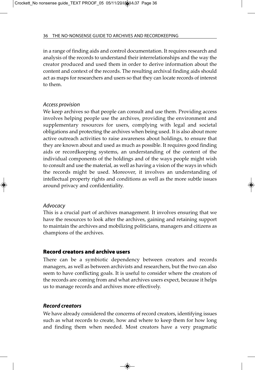in a range of finding aids and control documentation. It requires research and analysis of the records to understand their interrelationships and the way the creator produced and used them in order to derive information about the content and context of the records. The resulting archival finding aids should act as maps for researchers and users so that they can locate records of interest to them.

## Access provision

We keep archives so that people can consult and use them. Providing access involves helping people use the archives, providing the environment and supplementary resources for users, complying with legal and societal obligations and protecting the archives when being used. It is also about more active outreach activities to raise awareness about holdings, to ensure that they are known about and used as much as possible. It requires good finding aids or recordkeeping systems, an understanding of the content of the individual components of the holdings and of the ways people might wish to consult and use the material, as well as having a vision of the ways in which the records might be used. Moreover, it involves an understanding of intellectual property rights and conditions as well as the more subtle issues around privacy and confidentiality.

## Advocacy

This is a crucial part of archives management. It involves ensuring that we have the resources to look after the archives, gaining and retaining support to maintain the archives and mobilizing politicians, managers and citizens as champions of the archives.

## **Record creators and archive users**

There can be a symbiotic dependency between creators and records managers, as well as between archivists and researchers, but the two can also seem to have conflicting goals. It is useful to consider where the creators of the records are coming from and what archives users expect, because it helps us to manage records and archives more effectively.

## *Record creators*

We have already considered the concerns of record creators, identifying issues such as what records to create, how and where to keep them for how long and finding them when needed. Most creators have a very pragmatic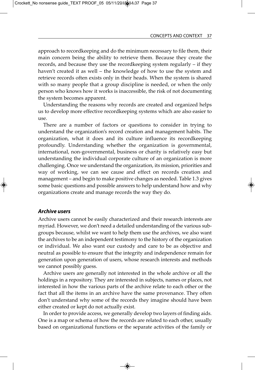approach to recordkeeping and do the minimum necessary to file them, their main concern being the ability to retrieve them. Because they create the records, and because they use the recordkeeping system regularly – if they haven't created it as well – the knowledge of how to use the system and retrieve records often exists only in their heads. When the system is shared with so many people that a group discipline is needed, or when the only person who knows how it works is inaccessible, the risk of not documenting the system becomes apparent.

Understanding the reasons why records are created and organized helps us to develop more effective recordkeeping systems which are also easier to use.

There are a number of factors or questions to consider in trying to understand the organization's record creation and management habits. The organization, what it does and its culture influence its recordkeeping profoundly. Understanding whether the organization is governmental, international, non-governmental, business or charity is relatively easy but understanding the individual corporate culture of an organization is more challenging. Once we understand the organization, its mission, priorities and way of working, we can see cause and effect on records creation and management – and begin to make positive changes as needed. Table 1.3 gives some basic questions and possible answers to help understand how and why organizations create and manage records the way they do.

#### *Archive users*

Archive users cannot be easily characterized and their research interests are myriad. However, we don't need a detailed understanding of the various subgroups because, whilst we want to help them use the archives, we also want the archives to be an independent testimony to the history of the organization or individual. We also want our custody and care to be as objective and neutral as possible to ensure that the integrity and independence remain for generation upon generation of users, whose research interests and methods we cannot possibly guess.

Archive users are generally not interested in the whole archive or all the holdings in a repository. They are interested in subjects, names or places, not interested in how the various parts of the archive relate to each other or the fact that all the items in an archive have the same provenance. They often don't understand why some of the records they imagine should have been either created or kept do not actually exist.

In order to provide access, we generally develop two layers of finding aids. One is a map or schema of how the records are related to each other, usually based on organizational functions or the separate activities of the family or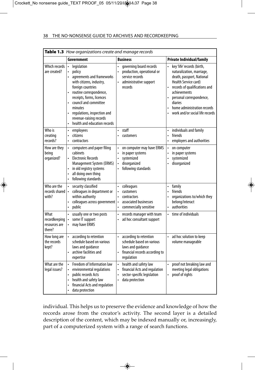| Table 1.3 How organizations create and manage records |                                                                                                                                                                                                                                                                                                                                |                                                                                                                                                  |                                                                                                                                                                                                                                                                                                                                     |
|-------------------------------------------------------|--------------------------------------------------------------------------------------------------------------------------------------------------------------------------------------------------------------------------------------------------------------------------------------------------------------------------------|--------------------------------------------------------------------------------------------------------------------------------------------------|-------------------------------------------------------------------------------------------------------------------------------------------------------------------------------------------------------------------------------------------------------------------------------------------------------------------------------------|
|                                                       | Government                                                                                                                                                                                                                                                                                                                     | <b>Business</b>                                                                                                                                  | <b>Private Individual/family</b>                                                                                                                                                                                                                                                                                                    |
| Which records<br>are created?                         | $\bullet$<br>legislation<br>policy<br>agreements and frameworks<br>with citizens, industry,<br>foreign countries<br>routine correspondence,<br>$\ddot{\phantom{0}}$<br>receipts, forms, licences<br>council and committee<br>minutes<br>regulations, inspection and<br>revenue-raising records<br>health and education records | governing board records<br>production, operational or<br>service records<br>$\ddot{\phantom{0}}$<br>administrative support<br>records            | $\ddot{\phantom{0}}$<br>key 'life' records (birth,<br>naturalization, marriage,<br>death, passport, National<br>Health Service card)<br>records of qualifications and<br>achievements<br>personal correspondence,<br>$\ddot{\phantom{0}}$<br>diaries<br>home administration records<br>$\bullet$<br>work and/or social life records |
| Who is<br>creating<br>records?                        | employees<br>citizens<br>contractors                                                                                                                                                                                                                                                                                           | staff<br>customers<br>$\bullet$                                                                                                                  | individuals and family<br>$\ddot{\phantom{0}}$<br>friends<br>employers and authorities<br>$\ddot{\phantom{0}}$                                                                                                                                                                                                                      |
| How are they<br>being<br>organized?                   | computers and paper filing<br>cabinets<br><b>Electronic Records</b><br>$\ddot{\phantom{0}}$<br>Management System (ERMS)<br>in old registry systems<br>all doing own thing<br>following standards                                                                                                                               | on computer may have ERMS<br>in paper systems<br>systemized<br>disorganized<br>$\bullet$<br>following standards                                  | on computer<br>$\ddot{\phantom{0}}$<br>in paper systems<br>$\ddot{\phantom{0}}$<br>systemized<br>disorganized<br>$\ddot{\phantom{0}}$                                                                                                                                                                                               |
| Who are the<br>records shared<br>with?                | security classified<br>$\bullet$<br>colleagues in department or<br>$\bullet$<br>within authority<br>colleagues across government .<br>public<br>$\ddot{\phantom{0}}$                                                                                                                                                           | colleagues<br>customers<br>$\ddot{\phantom{0}}$<br>contractors<br>associated businesses<br>$\ddot{\phantom{0}}$<br>commercially sensitive        | family<br>$\ddot{\phantom{0}}$<br>friends<br>$\ddot{\phantom{0}}$<br>organizations to/which they<br>belong/interact<br>authorities<br>$\ddot{\phantom{0}}$                                                                                                                                                                          |
| What<br>recordkeeping<br>resources are<br>there?      | usually one or two posts<br>some IT support<br>may have ERMS                                                                                                                                                                                                                                                                   | records manager with team<br>$\bullet$<br>ad hoc consultant support                                                                              | time of individuals<br>$\ddot{\phantom{0}}$                                                                                                                                                                                                                                                                                         |
| How long are<br>the records<br>kept?                  | according to retention<br>$\bullet$<br>schedule based on various<br>laws and quidance<br>archive facilities and<br>expertise                                                                                                                                                                                                   | according to retention<br>$\ddot{\phantom{0}}$<br>schedule based on various<br>laws and guidance<br>financial records according to<br>regulation | ad hoc solution to keep<br>$\bullet$<br>volume manageable                                                                                                                                                                                                                                                                           |
| What are the<br>legal issues?                         | Freedom of Information law<br>environmental regulations<br>$\ddot{\phantom{0}}$<br>public records Acts<br>$\bullet$<br>health and safety law<br>$\ddot{\phantom{0}}$<br>financial Acts and regulation<br>data protection                                                                                                       | health and safety law<br>$\bullet$<br>financial Acts and regulation<br>sector-specific legislation<br>$\bullet$<br>data protection<br>$\bullet$  | proof not breaking law and<br>meeting legal obligations<br>proof of rights                                                                                                                                                                                                                                                          |

individual. This helps us to preserve the evidence and knowledge of how the records arose from the creator's activity. The second layer is a detailed description of the content, which may be indexed manually or, increasingly, part of a computerized system with a range of search functions.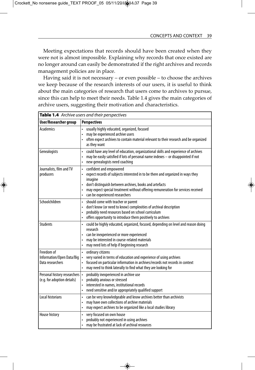Meeting expectations that records should have been created when they were not is almost impossible. Explaining why records that once existed are no longer around can easily be demonstrated if the right archives and records management policies are in place.

Having said it is not necessary – or even possible – to choose the archives we keep because of the research interests of our users, it is useful to think about the main categories of research that users come to archives to pursue, since this can help to meet their needs. Table 1.4 gives the main categories of archive users, suggesting their motivation and characteristics.

| Table 1.4 Archive users and their perspectives              |                                                                                                                                                                                                                                                                                                                                                                                   |  |  |
|-------------------------------------------------------------|-----------------------------------------------------------------------------------------------------------------------------------------------------------------------------------------------------------------------------------------------------------------------------------------------------------------------------------------------------------------------------------|--|--|
| <b>User/Researcher group</b>                                | <b>Perspectives</b>                                                                                                                                                                                                                                                                                                                                                               |  |  |
| <b>Academics</b><br>Genealogists                            | usually highly educated, organized, focused<br>may be experienced archive users<br>often expect archives to contain material relevant to their research and be organized<br>as they want<br>could have any level of education, organizational skills and experience of archives<br>$\bullet$<br>may be easily satisfied if lots of personal name indexes - or disappointed if not |  |  |
|                                                             | new genealogists need coaching<br>$\bullet$                                                                                                                                                                                                                                                                                                                                       |  |  |
| Journalists, film and TV<br>producers                       | confident and empowered<br>expect records of subjects interested in to be there and organized in ways they<br>imagine<br>don't distinguish between archives, books and artefacts<br>$\bullet$<br>may expect special treatment without offering remuneration for services received<br>can be experienced researchers                                                               |  |  |
| Schoolchildren                                              | should come with teacher or parent<br>$\bullet$<br>don't know (or need to know) complexities of archival description<br>probably need resources based on school curriculum<br>offers opportunity to introduce them positively to archives<br>$\bullet$                                                                                                                            |  |  |
| <b>Students</b>                                             | could be highly educated, organized, focused, depending on level and reason doing<br>research<br>can be inexperienced or more experienced<br>may be interested in course-related materials<br>$\bullet$<br>may need lots of help if beginning research<br>$\bullet$                                                                                                               |  |  |
| Freedom of<br>Information/Open Data/Big<br>Data researchers | ordinary citizens<br>$\bullet$<br>very varied in terms of education and experience of using archives<br>focused on particular information in archives/records not records in context<br>may need to think laterally to find what they are looking for                                                                                                                             |  |  |
| Personal history researchers<br>(e.g. for adoption details) | probably inexperienced in archive use<br>$\ddot{\phantom{0}}$<br>probably anxious or stressed<br>interested in names, institutional records<br>need sensitive and/or appropriately qualified support<br>$\bullet$                                                                                                                                                                 |  |  |
| Local historians                                            | can be very knowledgeable and know archives better than archivists<br>may have own collections of archive materials<br>$\bullet$<br>may expect archives to be organized like a local studies library<br>$\bullet$                                                                                                                                                                 |  |  |
| House history                                               | very focused on own house<br>probably not experienced in using archives<br>may be frustrated at lack of archival resources<br>$\bullet$                                                                                                                                                                                                                                           |  |  |